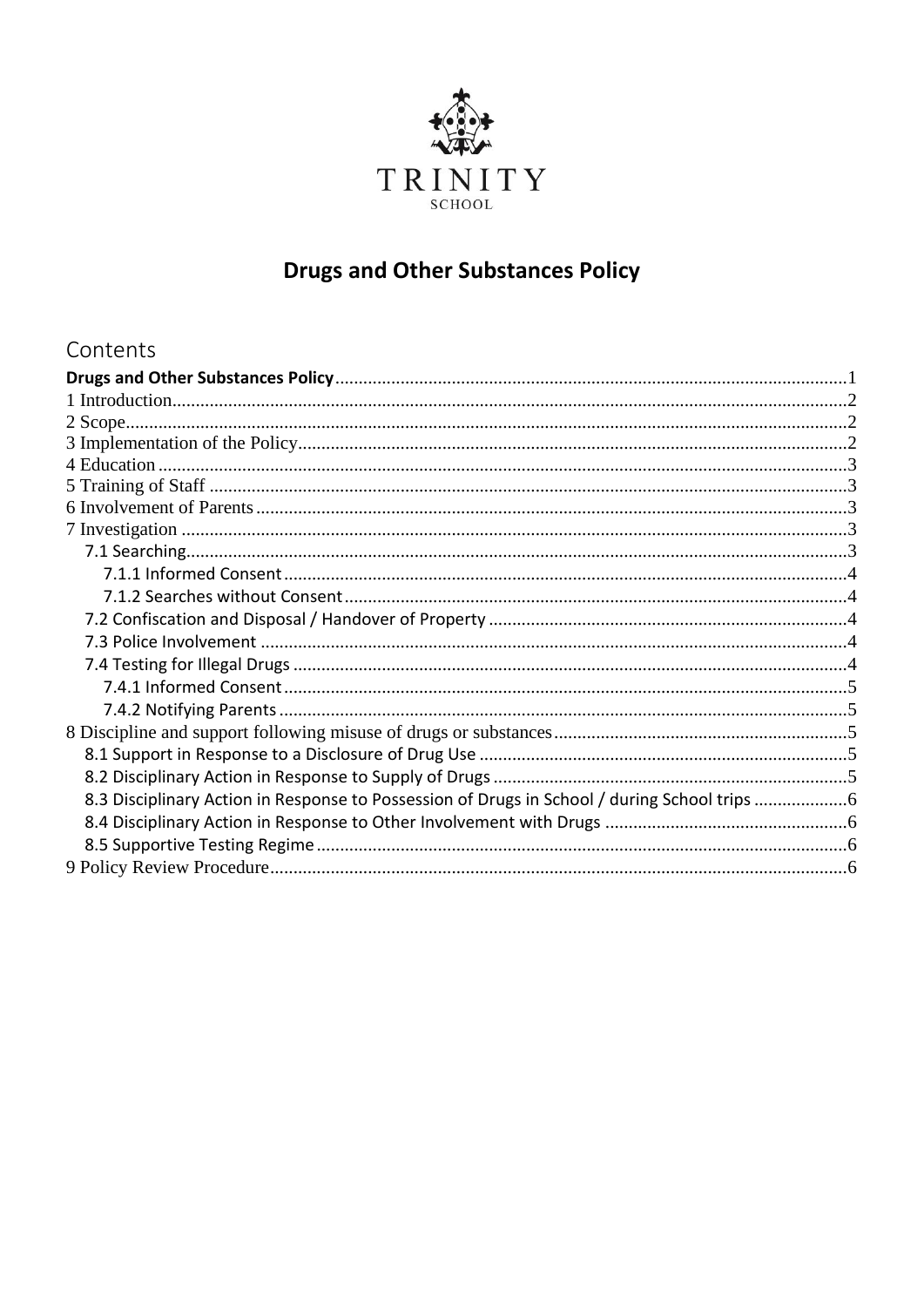

# **Drugs and Other Substances Policy**

# <span id="page-0-0"></span>Contents

| 8.3 Disciplinary Action in Response to Possession of Drugs in School / during School trips |  |
|--------------------------------------------------------------------------------------------|--|
|                                                                                            |  |
|                                                                                            |  |
|                                                                                            |  |
|                                                                                            |  |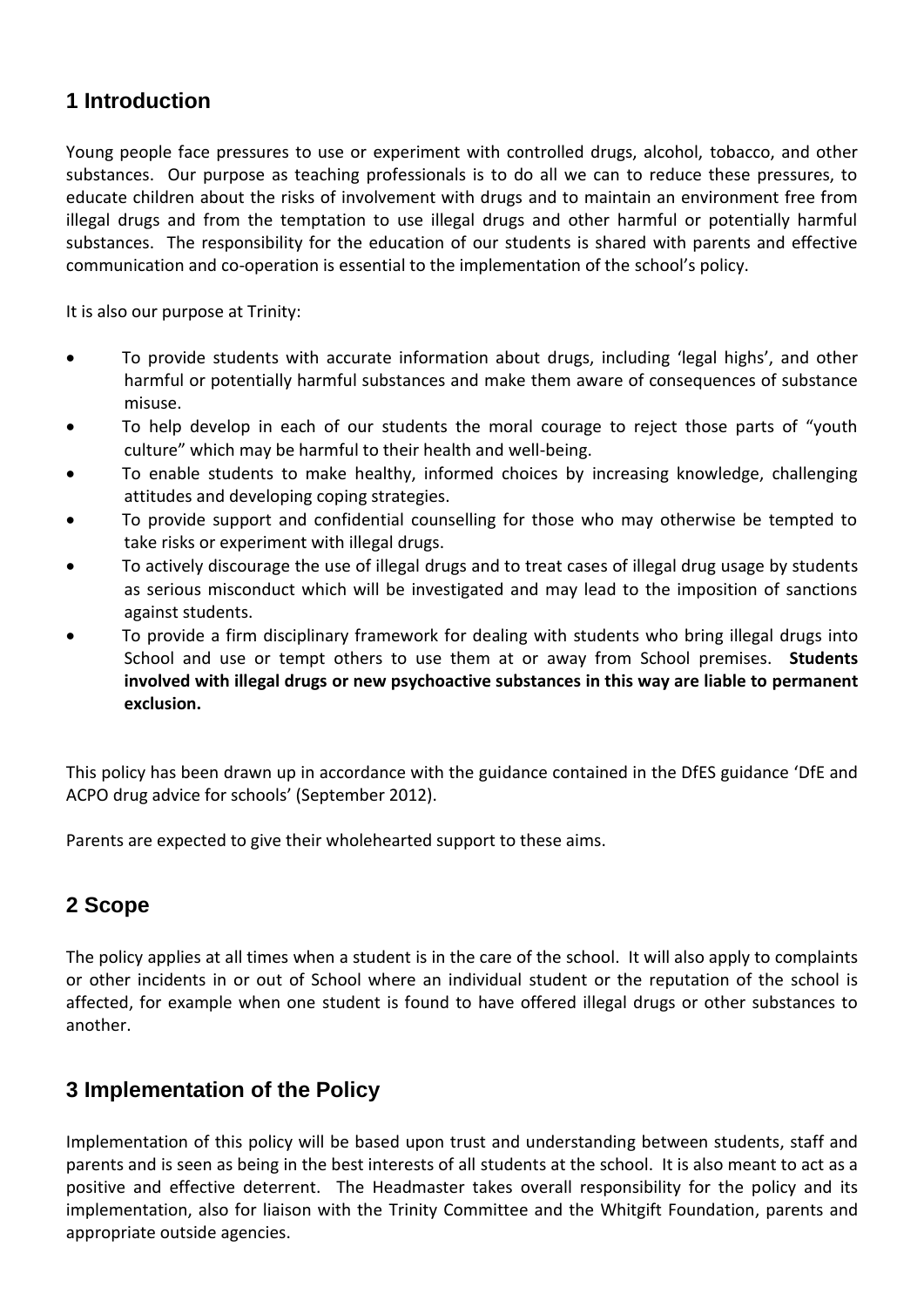# <span id="page-1-0"></span>**1 Introduction**

Young people face pressures to use or experiment with controlled drugs, alcohol, tobacco, and other substances. Our purpose as teaching professionals is to do all we can to reduce these pressures, to educate children about the risks of involvement with drugs and to maintain an environment free from illegal drugs and from the temptation to use illegal drugs and other harmful or potentially harmful substances. The responsibility for the education of our students is shared with parents and effective communication and co-operation is essential to the implementation of the school's policy.

It is also our purpose at Trinity:

- To provide students with accurate information about drugs, including 'legal highs', and other harmful or potentially harmful substances and make them aware of consequences of substance misuse.
- To help develop in each of our students the moral courage to reject those parts of "youth culture" which may be harmful to their health and well-being.
- To enable students to make healthy, informed choices by increasing knowledge, challenging attitudes and developing coping strategies.
- To provide support and confidential counselling for those who may otherwise be tempted to take risks or experiment with illegal drugs.
- To actively discourage the use of illegal drugs and to treat cases of illegal drug usage by students as serious misconduct which will be investigated and may lead to the imposition of sanctions against students.
- To provide a firm disciplinary framework for dealing with students who bring illegal drugs into School and use or tempt others to use them at or away from School premises. **Students involved with illegal drugs or new psychoactive substances in this way are liable to permanent exclusion.**

This policy has been drawn up in accordance with the guidance contained in the DfES guidance 'DfE and ACPO drug advice for schools' (September 2012).

Parents are expected to give their wholehearted support to these aims.

# <span id="page-1-1"></span>**2 Scope**

The policy applies at all times when a student is in the care of the school. It will also apply to complaints or other incidents in or out of School where an individual student or the reputation of the school is affected, for example when one student is found to have offered illegal drugs or other substances to another.

# <span id="page-1-2"></span>**3 Implementation of the Policy**

Implementation of this policy will be based upon trust and understanding between students, staff and parents and is seen as being in the best interests of all students at the school. It is also meant to act as a positive and effective deterrent. The Headmaster takes overall responsibility for the policy and its implementation, also for liaison with the Trinity Committee and the Whitgift Foundation, parents and appropriate outside agencies.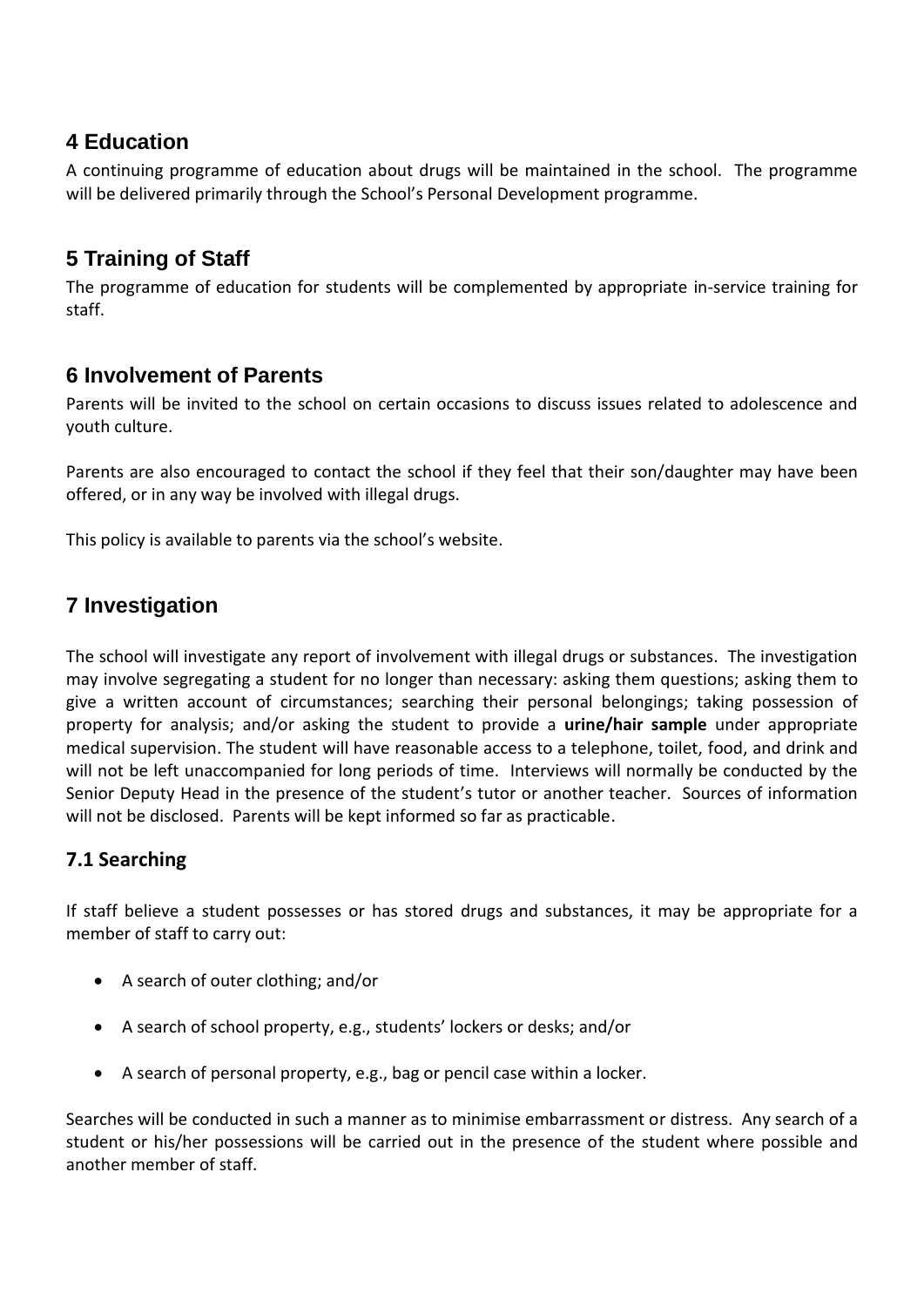# <span id="page-2-0"></span>**4 Education**

A continuing programme of education about drugs will be maintained in the school. The programme will be delivered primarily through the School's Personal Development programme.

# <span id="page-2-1"></span>**5 Training of Staff**

The programme of education for students will be complemented by appropriate in-service training for staff.

# <span id="page-2-2"></span>**6 Involvement of Parents**

Parents will be invited to the school on certain occasions to discuss issues related to adolescence and youth culture.

Parents are also encouraged to contact the school if they feel that their son/daughter may have been offered, or in any way be involved with illegal drugs.

This policy is available to parents via the school's website.

# <span id="page-2-3"></span>**7 Investigation**

The school will investigate any report of involvement with illegal drugs or substances. The investigation may involve segregating a student for no longer than necessary: asking them questions; asking them to give a written account of circumstances; searching their personal belongings; taking possession of property for analysis; and/or asking the student to provide a **urine/hair sample** under appropriate medical supervision. The student will have reasonable access to a telephone, toilet, food, and drink and will not be left unaccompanied for long periods of time. Interviews will normally be conducted by the Senior Deputy Head in the presence of the student's tutor or another teacher. Sources of information will not be disclosed. Parents will be kept informed so far as practicable.

#### <span id="page-2-4"></span>**7.1 Searching**

If staff believe a student possesses or has stored drugs and substances, it may be appropriate for a member of staff to carry out:

- A search of outer clothing; and/or
- A search of school property, e.g., students' lockers or desks; and/or
- A search of personal property, e.g., bag or pencil case within a locker.

Searches will be conducted in such a manner as to minimise embarrassment or distress. Any search of a student or his/her possessions will be carried out in the presence of the student where possible and another member of staff.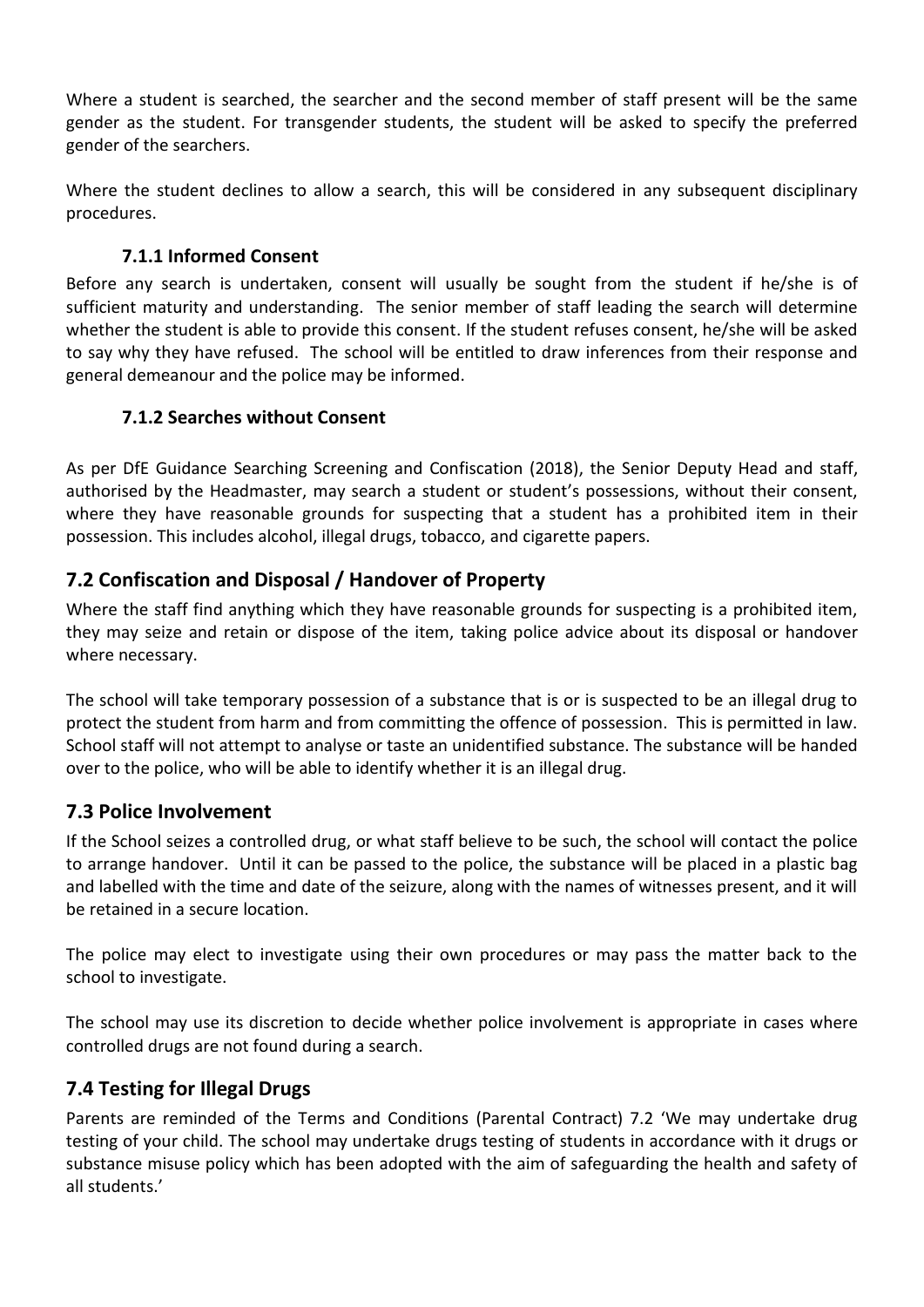Where a student is searched, the searcher and the second member of staff present will be the same gender as the student. For transgender students, the student will be asked to specify the preferred gender of the searchers.

<span id="page-3-0"></span>Where the student declines to allow a search, this will be considered in any subsequent disciplinary procedures.

#### **7.1.1 Informed Consent**

Before any search is undertaken, consent will usually be sought from the student if he/she is of sufficient maturity and understanding. The senior member of staff leading the search will determine whether the student is able to provide this consent. If the student refuses consent, he/she will be asked to say why they have refused. The school will be entitled to draw inferences from their response and general demeanour and the police may be informed.

#### <span id="page-3-1"></span>**7.1.2 Searches without Consent**

As per DfE Guidance Searching Screening and Confiscation (2018), the Senior Deputy Head and staff, authorised by the Headmaster, may search a student or student's possessions, without their consent, where they have reasonable grounds for suspecting that a student has a prohibited item in their possession. This includes alcohol, illegal drugs, tobacco, and cigarette papers.

## <span id="page-3-2"></span>**7.2 Confiscation and Disposal / Handover of Property**

Where the staff find anything which they have reasonable grounds for suspecting is a prohibited item, they may seize and retain or dispose of the item, taking police advice about its disposal or handover where necessary.

The school will take temporary possession of a substance that is or is suspected to be an illegal drug to protect the student from harm and from committing the offence of possession. This is permitted in law. School staff will not attempt to analyse or taste an unidentified substance. The substance will be handed over to the police, who will be able to identify whether it is an illegal drug.

#### <span id="page-3-3"></span>**7.3 Police Involvement**

If the School seizes a controlled drug, or what staff believe to be such, the school will contact the police to arrange handover. Until it can be passed to the police, the substance will be placed in a plastic bag and labelled with the time and date of the seizure, along with the names of witnesses present, and it will be retained in a secure location.

The police may elect to investigate using their own procedures or may pass the matter back to the school to investigate.

The school may use its discretion to decide whether police involvement is appropriate in cases where controlled drugs are not found during a search.

#### <span id="page-3-4"></span>**7.4 Testing for Illegal Drugs**

Parents are reminded of the Terms and Conditions (Parental Contract) 7.2 'We may undertake drug testing of your child. The school may undertake drugs testing of students in accordance with it drugs or substance misuse policy which has been adopted with the aim of safeguarding the health and safety of all students.'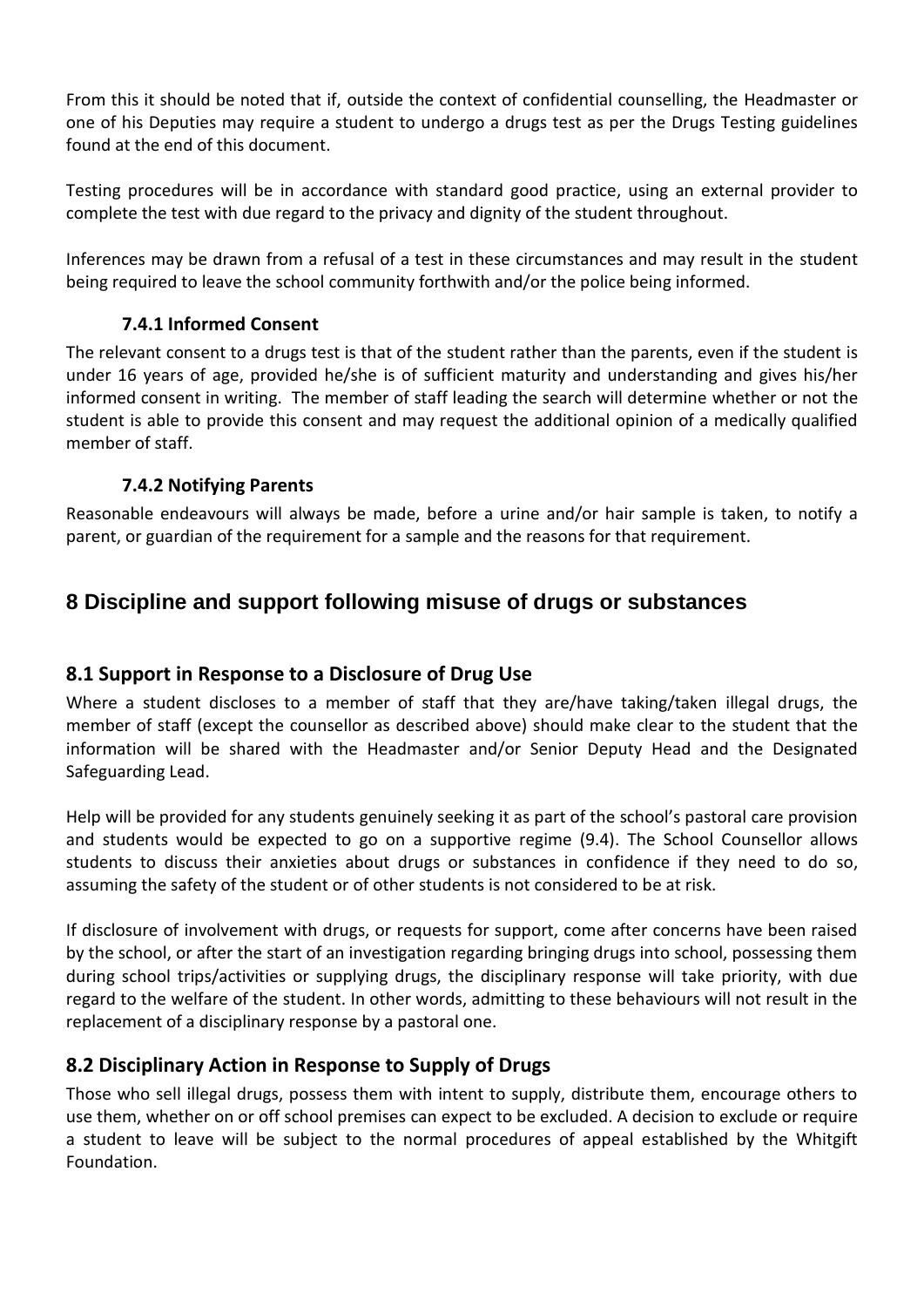From this it should be noted that if, outside the context of confidential counselling, the Headmaster or one of his Deputies may require a student to undergo a drugs test as per the Drugs Testing guidelines found at the end of this document.

Testing procedures will be in accordance with standard good practice, using an external provider to complete the test with due regard to the privacy and dignity of the student throughout.

<span id="page-4-0"></span>Inferences may be drawn from a refusal of a test in these circumstances and may result in the student being required to leave the school community forthwith and/or the police being informed.

#### **7.4.1 Informed Consent**

The relevant consent to a drugs test is that of the student rather than the parents, even if the student is under 16 years of age, provided he/she is of sufficient maturity and understanding and gives his/her informed consent in writing. The member of staff leading the search will determine whether or not the student is able to provide this consent and may request the additional opinion of a medically qualified member of staff.

#### **7.4.2 Notifying Parents**

<span id="page-4-1"></span>Reasonable endeavours will always be made, before a urine and/or hair sample is taken, to notify a parent, or guardian of the requirement for a sample and the reasons for that requirement.

# <span id="page-4-2"></span>**8 Discipline and support following misuse of drugs or substances**

#### <span id="page-4-3"></span>**8.1 Support in Response to a Disclosure of Drug Use**

Where a student discloses to a member of staff that they are/have taking/taken illegal drugs, the member of staff (except the counsellor as described above) should make clear to the student that the information will be shared with the Headmaster and/or Senior Deputy Head and the Designated Safeguarding Lead.

Help will be provided for any students genuinely seeking it as part of the school's pastoral care provision and students would be expected to go on a supportive regime (9.4). The School Counsellor allows students to discuss their anxieties about drugs or substances in confidence if they need to do so, assuming the safety of the student or of other students is not considered to be at risk.

If disclosure of involvement with drugs, or requests for support, come after concerns have been raised by the school, or after the start of an investigation regarding bringing drugs into school, possessing them during school trips/activities or supplying drugs, the disciplinary response will take priority, with due regard to the welfare of the student. In other words, admitting to these behaviours will not result in the replacement of a disciplinary response by a pastoral one.

#### <span id="page-4-4"></span>**8.2 Disciplinary Action in Response to Supply of Drugs**

Those who sell illegal drugs, possess them with intent to supply, distribute them, encourage others to use them, whether on or off school premises can expect to be excluded. A decision to exclude or require a student to leave will be subject to the normal procedures of appeal established by the Whitgift Foundation.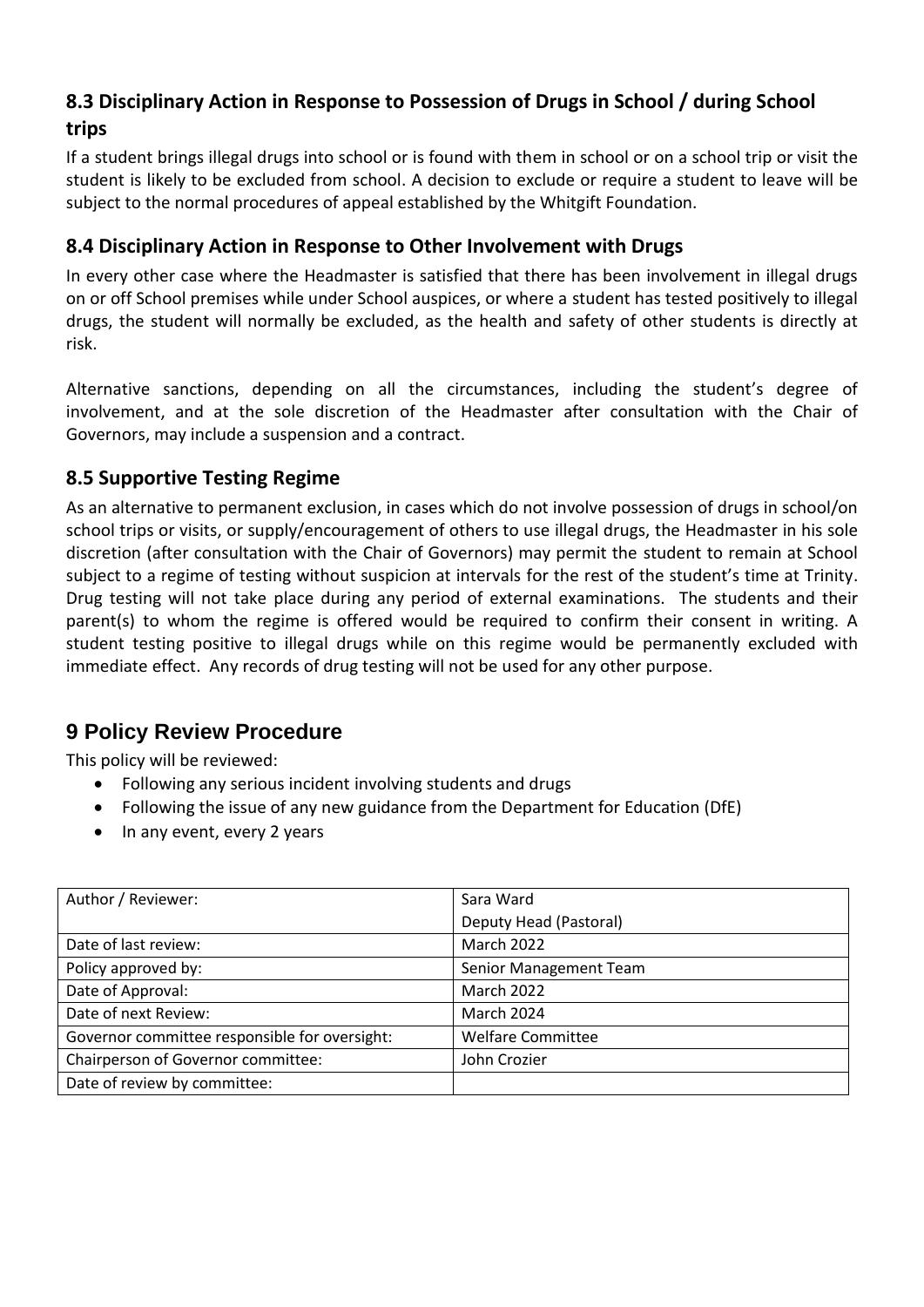# <span id="page-5-0"></span>**8.3 Disciplinary Action in Response to Possession of Drugs in School / during School trips**

If a student brings illegal drugs into school or is found with them in school or on a school trip or visit the student is likely to be excluded from school. A decision to exclude or require a student to leave will be subject to the normal procedures of appeal established by the Whitgift Foundation.

#### <span id="page-5-1"></span>**8.4 Disciplinary Action in Response to Other Involvement with Drugs**

In every other case where the Headmaster is satisfied that there has been involvement in illegal drugs on or off School premises while under School auspices, or where a student has tested positively to illegal drugs, the student will normally be excluded, as the health and safety of other students is directly at risk.

Alternative sanctions, depending on all the circumstances, including the student's degree of involvement, and at the sole discretion of the Headmaster after consultation with the Chair of Governors, may include a suspension and a contract.

## <span id="page-5-2"></span>**8.5 Supportive Testing Regime**

As an alternative to permanent exclusion, in cases which do not involve possession of drugs in school/on school trips or visits, or supply/encouragement of others to use illegal drugs, the Headmaster in his sole discretion (after consultation with the Chair of Governors) may permit the student to remain at School subject to a regime of testing without suspicion at intervals for the rest of the student's time at Trinity. Drug testing will not take place during any period of external examinations. The students and their parent(s) to whom the regime is offered would be required to confirm their consent in writing. A student testing positive to illegal drugs while on this regime would be permanently excluded with immediate effect. Any records of drug testing will not be used for any other purpose.

# <span id="page-5-3"></span>**9 Policy Review Procedure**

This policy will be reviewed:

- Following any serious incident involving students and drugs
- Following the issue of any new guidance from the Department for Education (DfE)
- In any event, every 2 years

| Author / Reviewer:                            | Sara Ward                |
|-----------------------------------------------|--------------------------|
|                                               | Deputy Head (Pastoral)   |
| Date of last review:                          | March 2022               |
| Policy approved by:                           | Senior Management Team   |
| Date of Approval:                             | March 2022               |
| Date of next Review:                          | <b>March 2024</b>        |
| Governor committee responsible for oversight: | <b>Welfare Committee</b> |
| Chairperson of Governor committee:            | John Crozier             |
| Date of review by committee:                  |                          |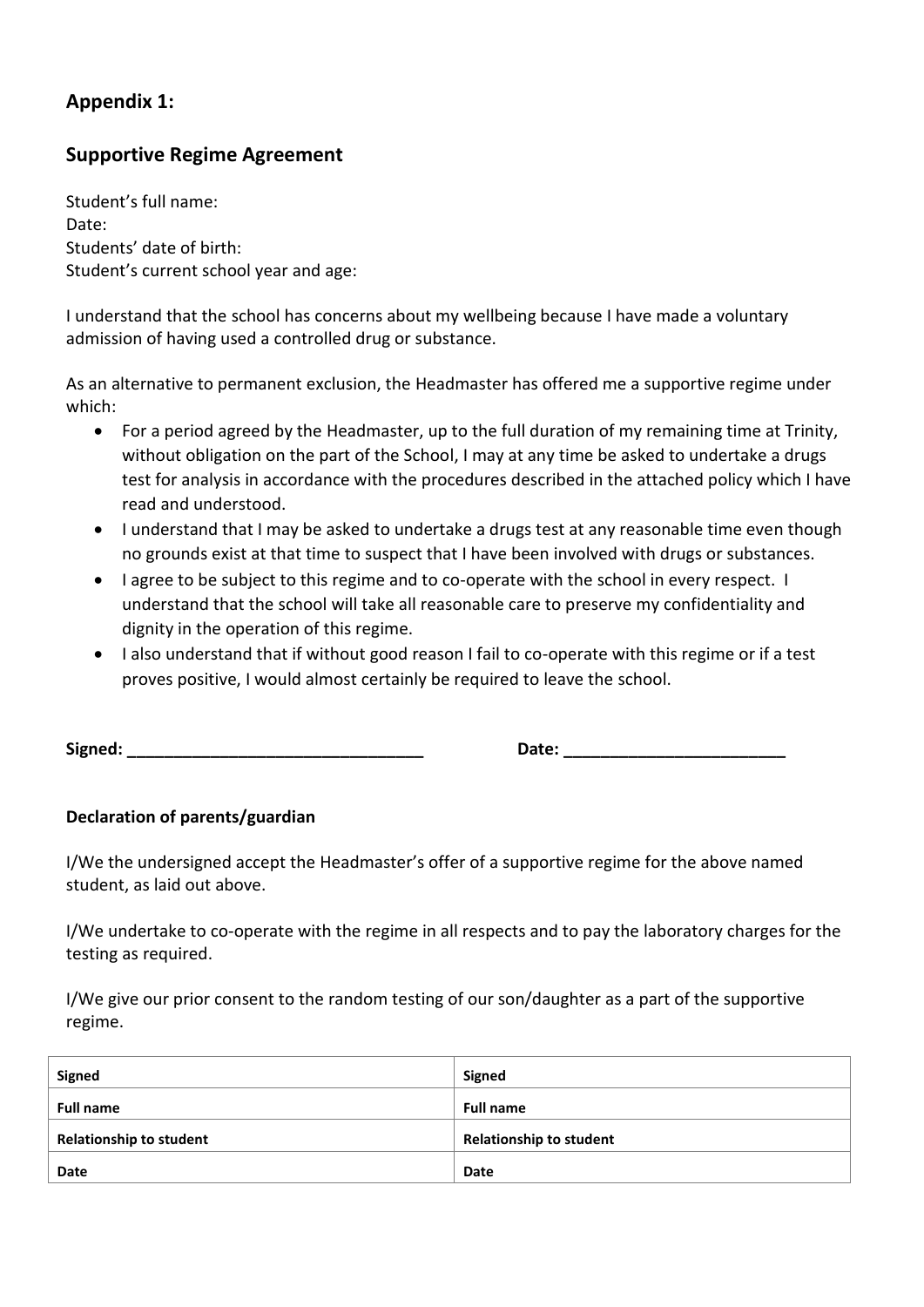## **Appendix 1:**

## **Supportive Regime Agreement**

Student's full name: Date: Students' date of birth: Student's current school year and age:

I understand that the school has concerns about my wellbeing because I have made a voluntary admission of having used a controlled drug or substance.

As an alternative to permanent exclusion, the Headmaster has offered me a supportive regime under which:

- For a period agreed by the Headmaster, up to the full duration of my remaining time at Trinity, without obligation on the part of the School, I may at any time be asked to undertake a drugs test for analysis in accordance with the procedures described in the attached policy which I have read and understood.
- I understand that I may be asked to undertake a drugs test at any reasonable time even though no grounds exist at that time to suspect that I have been involved with drugs or substances.
- I agree to be subject to this regime and to co-operate with the school in every respect. I understand that the school will take all reasonable care to preserve my confidentiality and dignity in the operation of this regime.
- I also understand that if without good reason I fail to co-operate with this regime or if a test proves positive, I would almost certainly be required to leave the school.

**Signed: \_\_\_\_\_\_\_\_\_\_\_\_\_\_\_\_\_\_\_\_\_\_\_\_\_\_\_\_\_\_\_\_ Date: \_\_\_\_\_\_\_\_\_\_\_\_\_\_\_\_\_\_\_\_\_\_\_\_**

#### **Declaration of parents/guardian**

I/We the undersigned accept the Headmaster's offer of a supportive regime for the above named student, as laid out above.

I/We undertake to co-operate with the regime in all respects and to pay the laboratory charges for the testing as required.

I/We give our prior consent to the random testing of our son/daughter as a part of the supportive regime.

| Signed                         | Signed                         |
|--------------------------------|--------------------------------|
| <b>Full name</b>               | <b>Full name</b>               |
| <b>Relationship to student</b> | <b>Relationship to student</b> |
| Date                           | <b>Date</b>                    |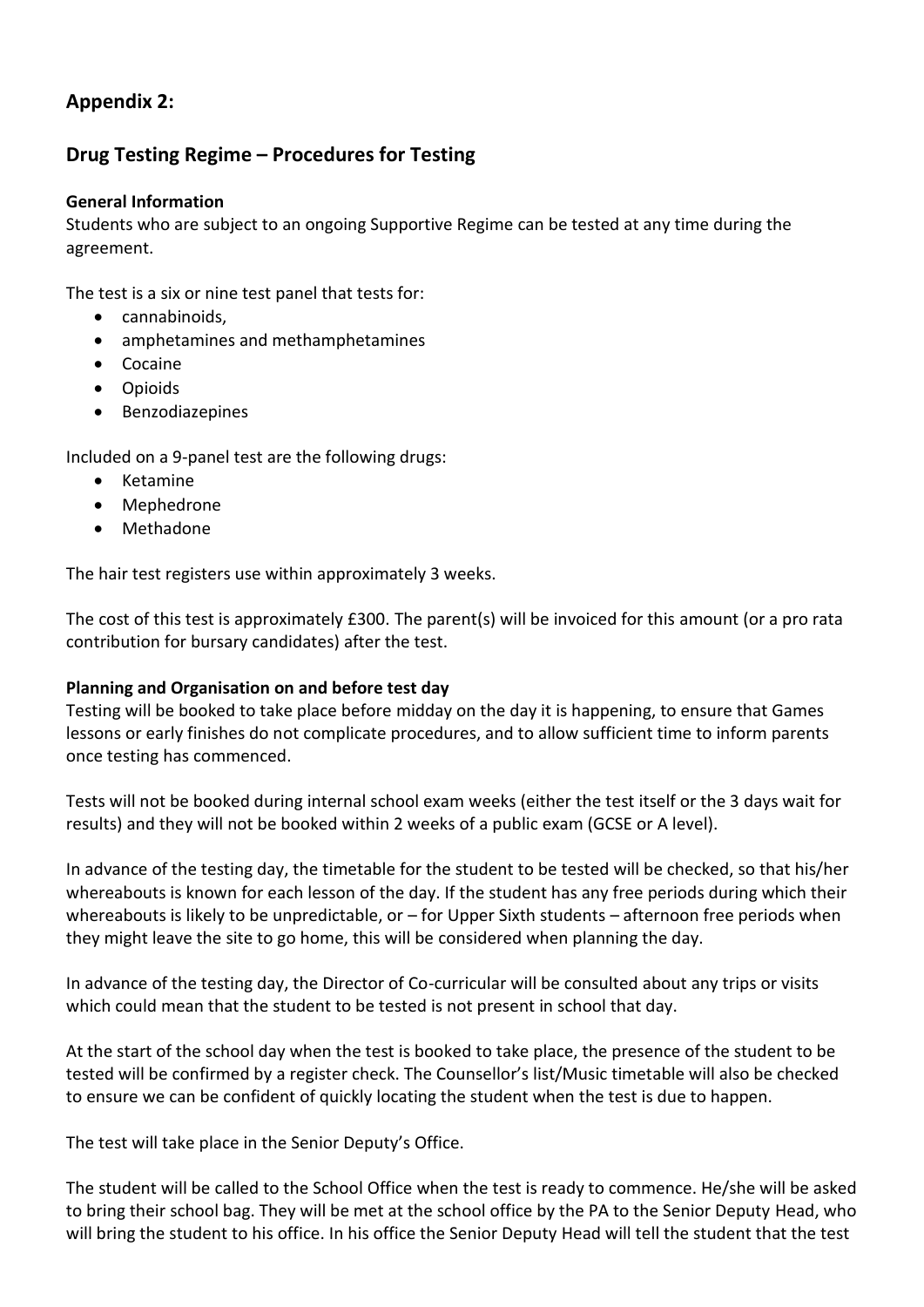## **Appendix 2:**

## **Drug Testing Regime – Procedures for Testing**

#### **General Information**

Students who are subject to an ongoing Supportive Regime can be tested at any time during the agreement.

The test is a six or nine test panel that tests for:

- cannabinoids,
- amphetamines and methamphetamines
- Cocaine
- Opioids
- Benzodiazepines

Included on a 9-panel test are the following drugs:

- Ketamine
- Mephedrone
- Methadone

The hair test registers use within approximately 3 weeks.

The cost of this test is approximately £300. The parent(s) will be invoiced for this amount (or a pro rata contribution for bursary candidates) after the test.

#### **Planning and Organisation on and before test day**

Testing will be booked to take place before midday on the day it is happening, to ensure that Games lessons or early finishes do not complicate procedures, and to allow sufficient time to inform parents once testing has commenced.

Tests will not be booked during internal school exam weeks (either the test itself or the 3 days wait for results) and they will not be booked within 2 weeks of a public exam (GCSE or A level).

In advance of the testing day, the timetable for the student to be tested will be checked, so that his/her whereabouts is known for each lesson of the day. If the student has any free periods during which their whereabouts is likely to be unpredictable, or – for Upper Sixth students – afternoon free periods when they might leave the site to go home, this will be considered when planning the day.

In advance of the testing day, the Director of Co-curricular will be consulted about any trips or visits which could mean that the student to be tested is not present in school that day.

At the start of the school day when the test is booked to take place, the presence of the student to be tested will be confirmed by a register check. The Counsellor's list/Music timetable will also be checked to ensure we can be confident of quickly locating the student when the test is due to happen.

The test will take place in the Senior Deputy's Office.

The student will be called to the School Office when the test is ready to commence. He/she will be asked to bring their school bag. They will be met at the school office by the PA to the Senior Deputy Head, who will bring the student to his office. In his office the Senior Deputy Head will tell the student that the test